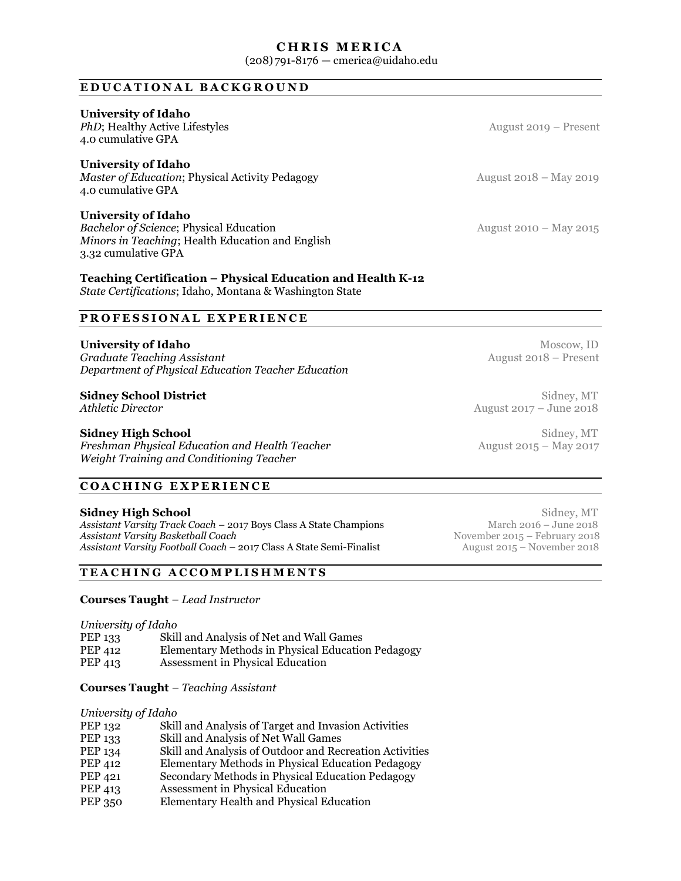# **CHRIS MERICA**

(208)791-8176 — cmerica@uidaho.edu

# **EDUCATIONAL BACKGROUND**

# **University of Idaho**

*PhD*; Healthy Active Lifestyles August 2019 – Present 4.0 cumulative GPA

**University of Idaho**<br> **Master of Education**; Physical Activity Pedagogy<br> **August 2018 – May 2019** *Master of Education*; Physical Activity Pedagogy 4.0 cumulative GPA

# **University of Idaho**

*Bachelor of Science***; Physical Education** August 2010 – May 2015 *Minors in Teaching*; Health Education and English 3.32 cumulative GPA

# **Teaching Certification – Physical Education and Health K-12**

*State Certifications*; Idaho, Montana & Washington State

# **PROFESSIONAL EXPERIENCE**

**University of Idaho** Moscow, ID<br> **Graduate Teaching Assistant** Moscow, ID August 2018 – Present *Graduate Teaching Assistant Department of Physical Education Teacher Education* 

# **Sidney School District** Sidney, MT Sidney, MT

**Freshman Physical Education and Health Teacher** *Weight Training and Conditioning Teacher* 

# **COACHING EXPERIENCE**

**Sidney High School** Sidney, MT Sidney, MT Sidney, MT Sidney, MT Sidney, MT Sidney, MT Sidney, MT Sidney, MT Sidney, MT Sidney, MT Sidney, MT Sidney, MT Sidney, MT Sidney, MT Sidney, MT Sidney, MT Sidney, MT Sidney, MT Sid *Assistant Varsity Track Coach – 2017 Boys Class A State Champions* **Assistant Varsity Basketball Coach and Coach and Coach and Coach in the Semi-Finalist** Movember 2015 – February 2018<br>Assistant Varsity Football Coach – 2017 Class A State Semi-Finalist August 2015 – November 2018 *Assistant Varsity Football Coach – 2017 Class A State Semi-Finalist* 

# **TEACHING ACCOMPLISHMENTS**

**Courses Taught** *– Lead Instructor*

*University of Idaho* 

| PEP 133 | Skill and Analysis of Net and Wall Games          |
|---------|---------------------------------------------------|
| PEP 412 | Elementary Methods in Physical Education Pedagogy |
| PEP 413 | Assessment in Physical Education                  |

## **Courses Taught** *– Teaching Assistant*

## *University of Idaho*

| PEP 132        | Skill and Analysis of Target and Invasion Activities    |
|----------------|---------------------------------------------------------|
| PEP 133        | Skill and Analysis of Net Wall Games                    |
| PEP 134        | Skill and Analysis of Outdoor and Recreation Activities |
| PEP 412        | Elementary Methods in Physical Education Pedagogy       |
| PEP 421        | Secondary Methods in Physical Education Pedagogy        |
| PEP 413        | Assessment in Physical Education                        |
| <b>PEP 350</b> | Elementary Health and Physical Education                |

*Athletic Director* **August 2017** – June 2018

**Sidney High School** Sidney, MT Sidney, MT Sidney, MT Sidney, MT Sidney, MT Sidney, MT Sidney, MT Sidney, MT Sidney, MT Sidney, MT Sidney, MT Sidney, MT Sidney, MT Sidney, MT Sidney, MT Sidney, MT Sidney, MT Sidney, MT Sid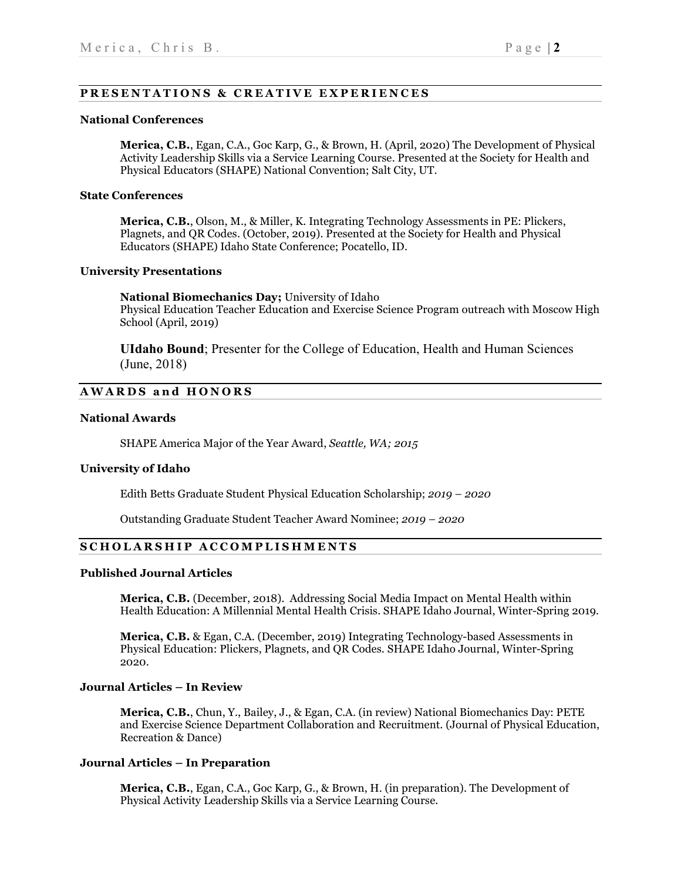# **PRESENTATION S & CREATIVE EXPERIENCES**

### **National Conferences**

**Merica, C.B.**, Egan, C.A., Goc Karp, G., & Brown, H. (April, 2020) The Development of Physical Activity Leadership Skills via a Service Learning Course. Presented at the Society for Health and Physical Educators (SHAPE) National Convention; Salt City, UT.

# **State Conferences**

**Merica, C.B.**, Olson, M., & Miller, K. Integrating Technology Assessments in PE: Plickers, Plagnets, and QR Codes. (October, 2019). Presented at the Society for Health and Physical Educators (SHAPE) Idaho State Conference; Pocatello, ID.

## **University Presentations**

**National Biomechanics Day;** University of Idaho Physical Education Teacher Education and Exercise Science Program outreach with Moscow High School (April, 2019)

**UIdaho Bound**; Presenter for the College of Education, Health and Human Sciences (June, 2018)

# **AWARDS and HONORS**

## **National Awards**

SHAPE America Major of the Year Award, *Seattle, WA; 2015*

## **University of Idaho**

Edith Betts Graduate Student Physical Education Scholarship; *2019 – 2020*

Outstanding Graduate Student Teacher Award Nominee; *2019 – 2020*

## **SCHOLARSHIP ACCOMPLISHMENTS**

## **Published Journal Articles**

**Merica, C.B.** (December, 2018). Addressing Social Media Impact on Mental Health within Health Education: A Millennial Mental Health Crisis. SHAPE Idaho Journal, Winter-Spring 2019.

**Merica, C.B.** & Egan, C.A. (December, 2019) Integrating Technology-based Assessments in Physical Education: Plickers, Plagnets, and QR Codes. SHAPE Idaho Journal, Winter-Spring 2020.

## **Journal Articles – In Review**

**Merica, C.B.**, Chun, Y., Bailey, J., & Egan, C.A. (in review) National Biomechanics Day: PETE and Exercise Science Department Collaboration and Recruitment. (Journal of Physical Education, Recreation & Dance)

## **Journal Articles – In Preparation**

**Merica, C.B.**, Egan, C.A., Goc Karp, G., & Brown, H. (in preparation). The Development of Physical Activity Leadership Skills via a Service Learning Course.